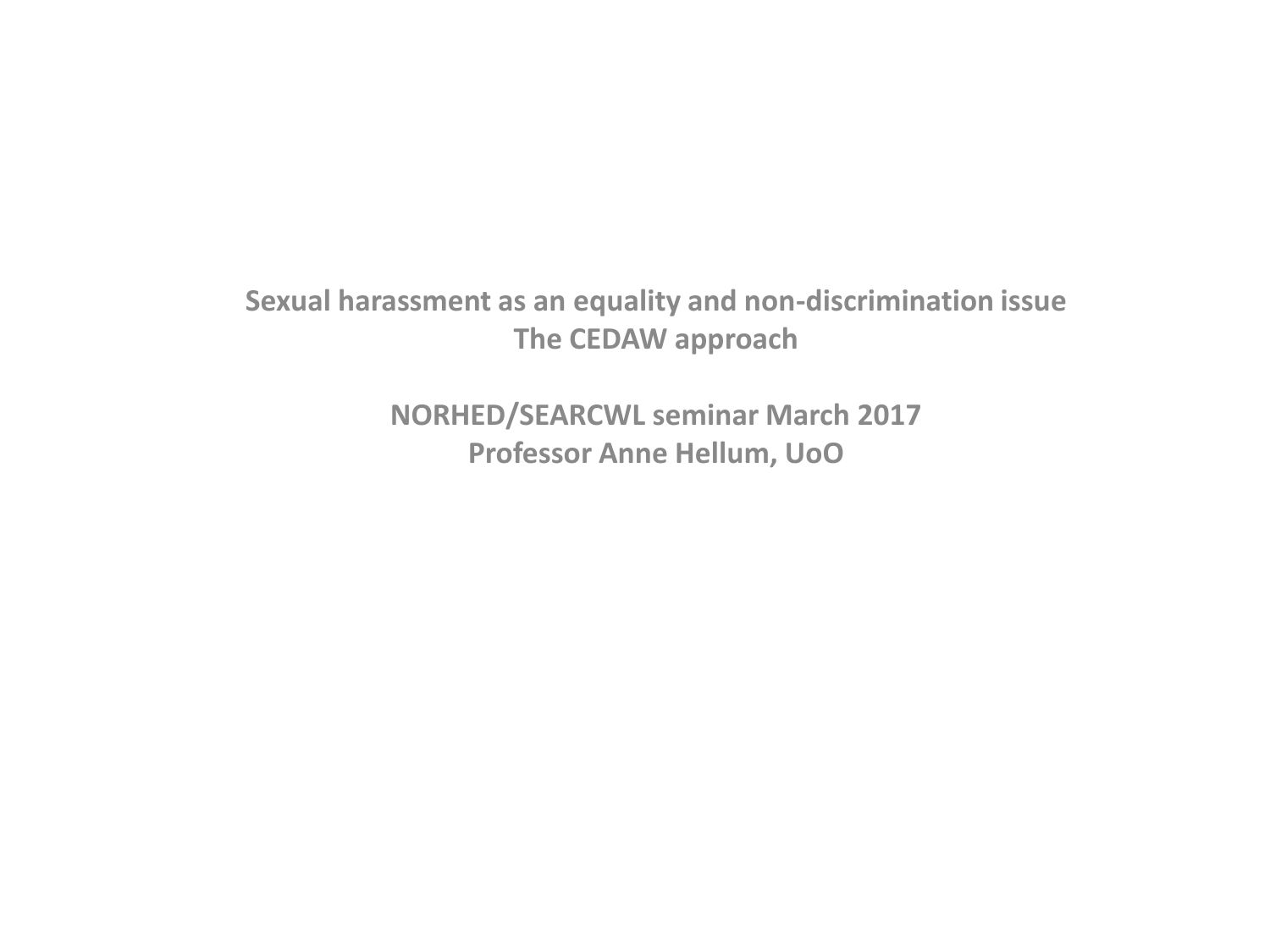#### **Sexual harassment as an equality and non-discrimination issue The CEDAW approach**

**NORHED/SEARCWL seminar March 2017 Professor Anne Hellum, UoO**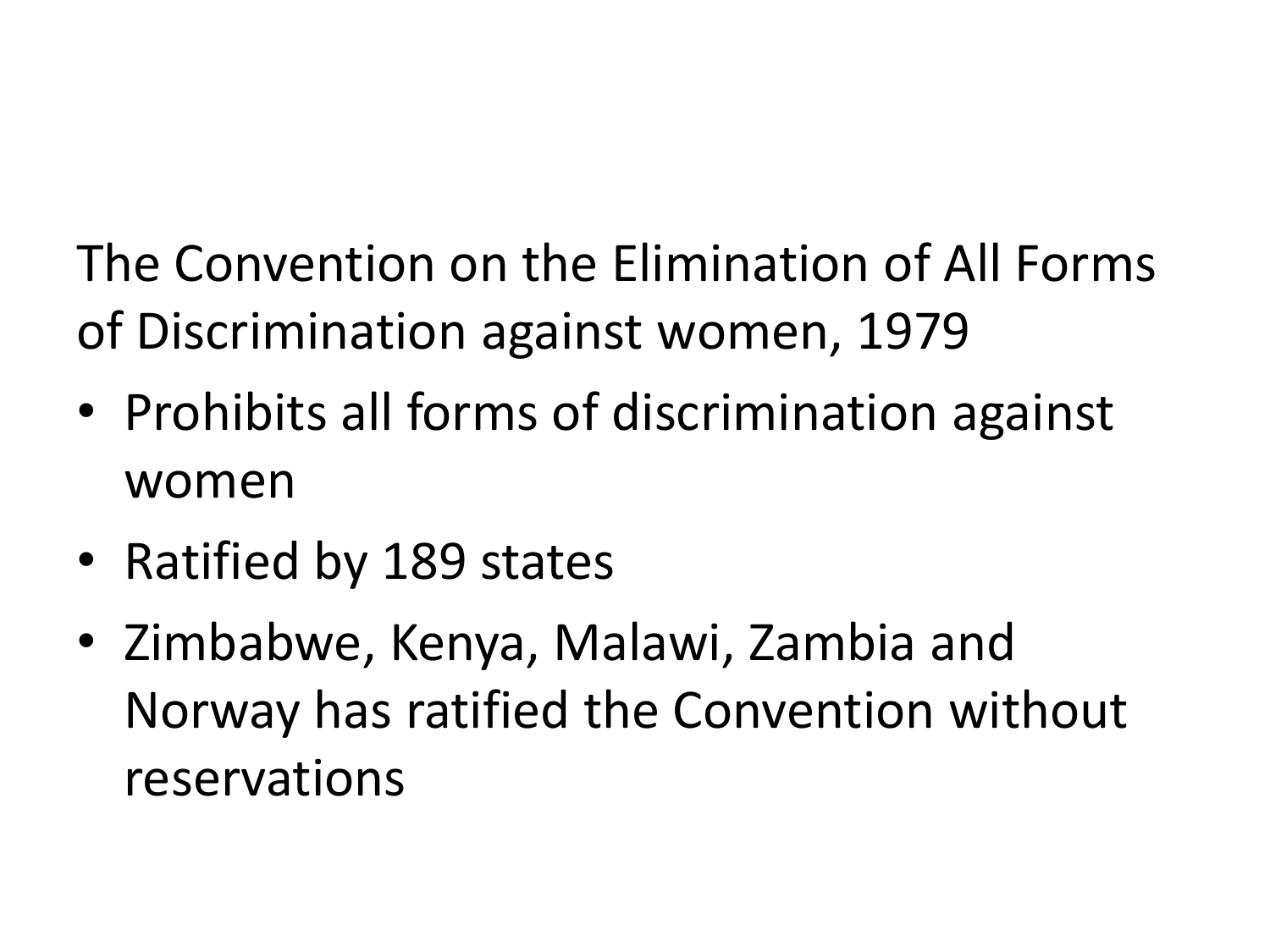The Convention on the Elimination of All Forms of Discrimination against women, 1979

- Prohibits all forms of discrimination against women
- Ratified by 189 states
- Zimbabwe, Kenya, Malawi, Zambia and Norway has ratified the Convention without reservations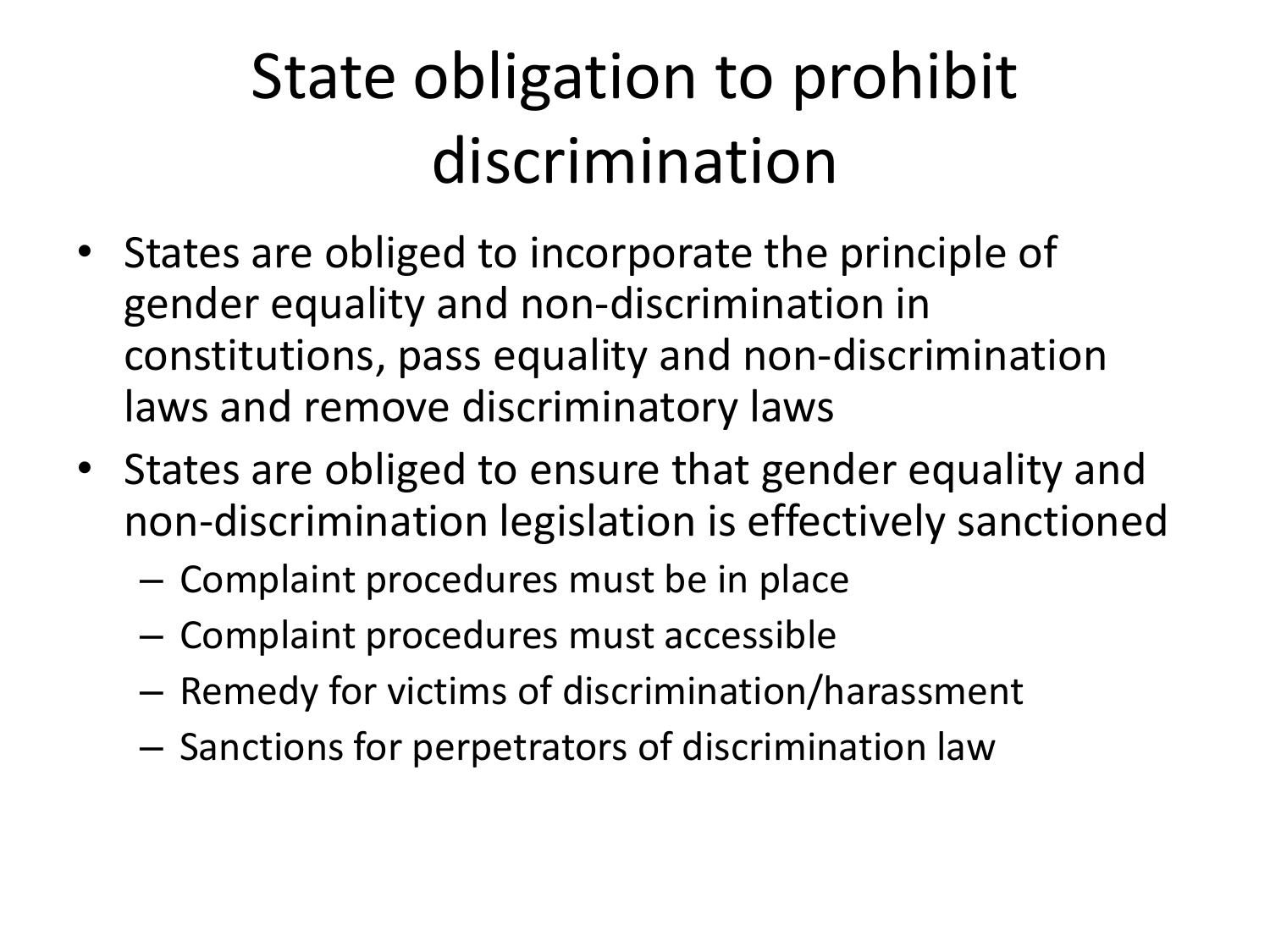#### State obligation to prohibit discrimination

- States are obliged to incorporate the principle of gender equality and non-discrimination in constitutions, pass equality and non-discrimination laws and remove discriminatory laws
- States are obliged to ensure that gender equality and non-discrimination legislation is effectively sanctioned
	- Complaint procedures must be in place
	- Complaint procedures must accessible
	- Remedy for victims of discrimination/harassment
	- Sanctions for perpetrators of discrimination law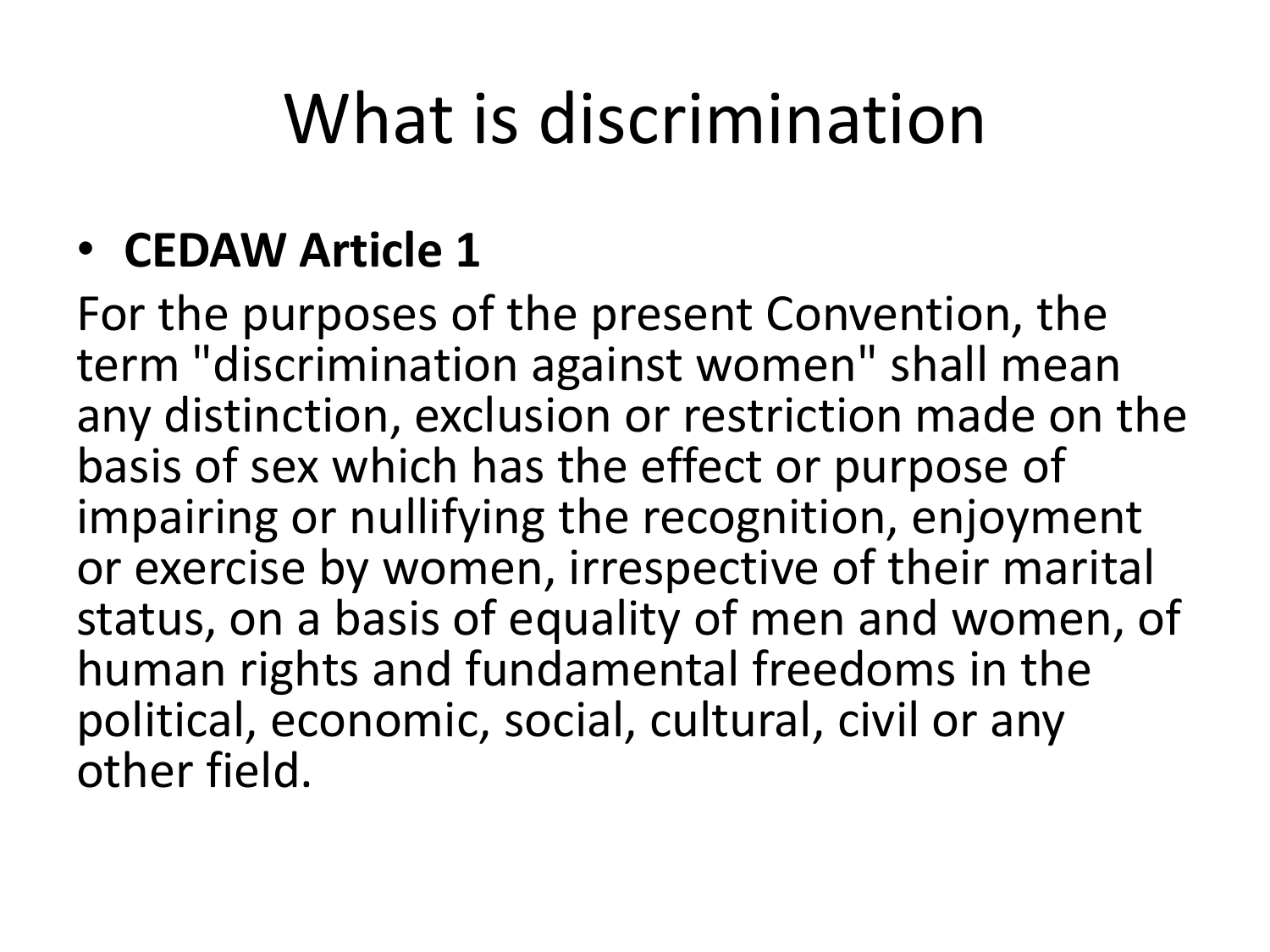### What is discrimination

#### • **CEDAW Article 1**

For the purposes of the present Convention, the term "discrimination against women" shall mean any distinction, exclusion or restriction made on the basis of sex which has the effect or purpose of impairing or nullifying the recognition, enjoyment or exercise by women, irrespective of their marital status, on a basis of equality of men and women, of human rights and fundamental freedoms in the political, economic, social, cultural, civil or any other field.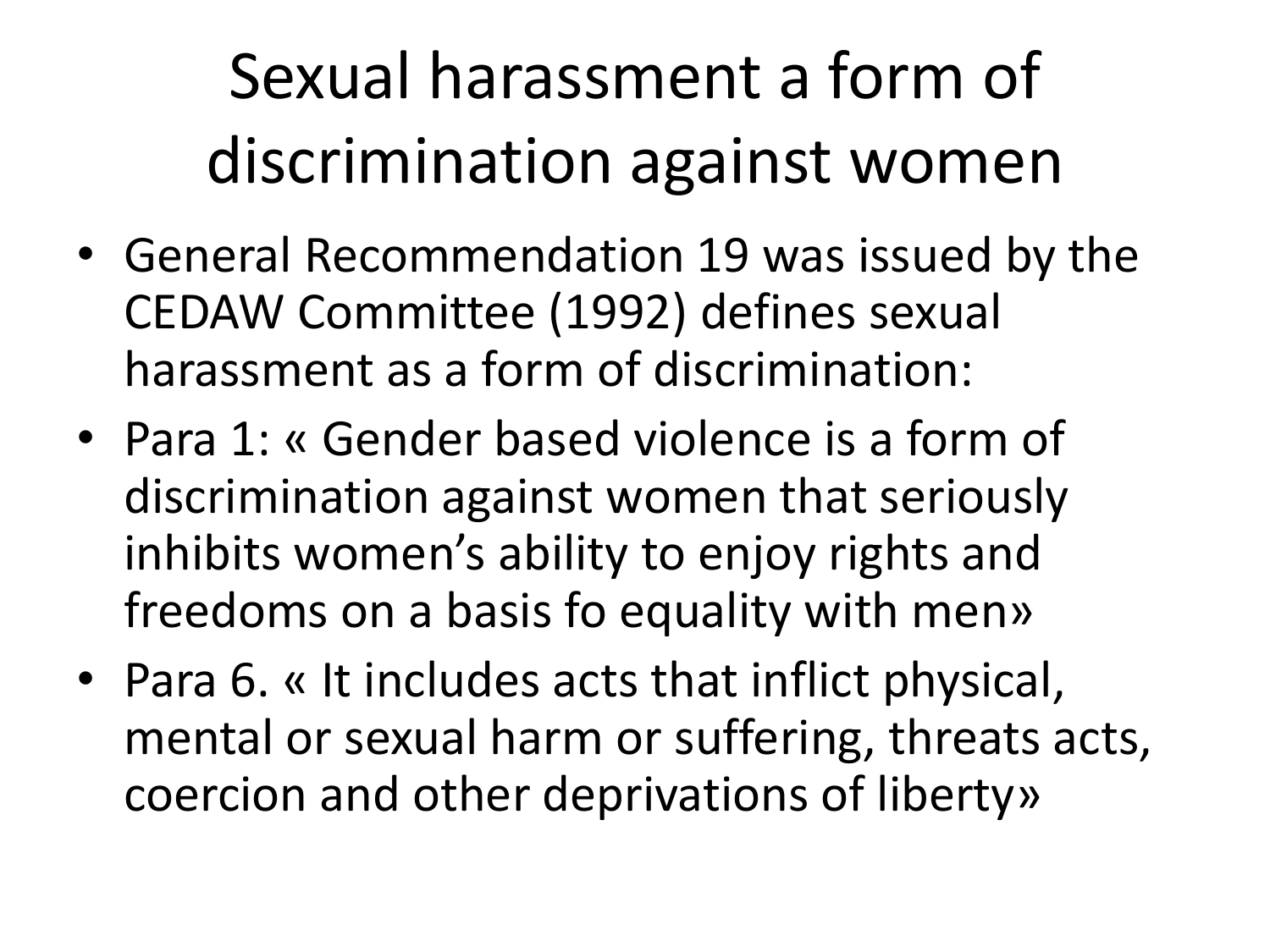Sexual harassment a form of discrimination against women

- General Recommendation 19 was issued by the CEDAW Committee (1992) defines sexual harassment as a form of discrimination:
- Para 1: « Gender based violence is a form of discrimination against women that seriously inhibits women's ability to enjoy rights and freedoms on a basis fo equality with men»
- Para 6. « It includes acts that inflict physical, mental or sexual harm or suffering, threats acts, coercion and other deprivations of liberty»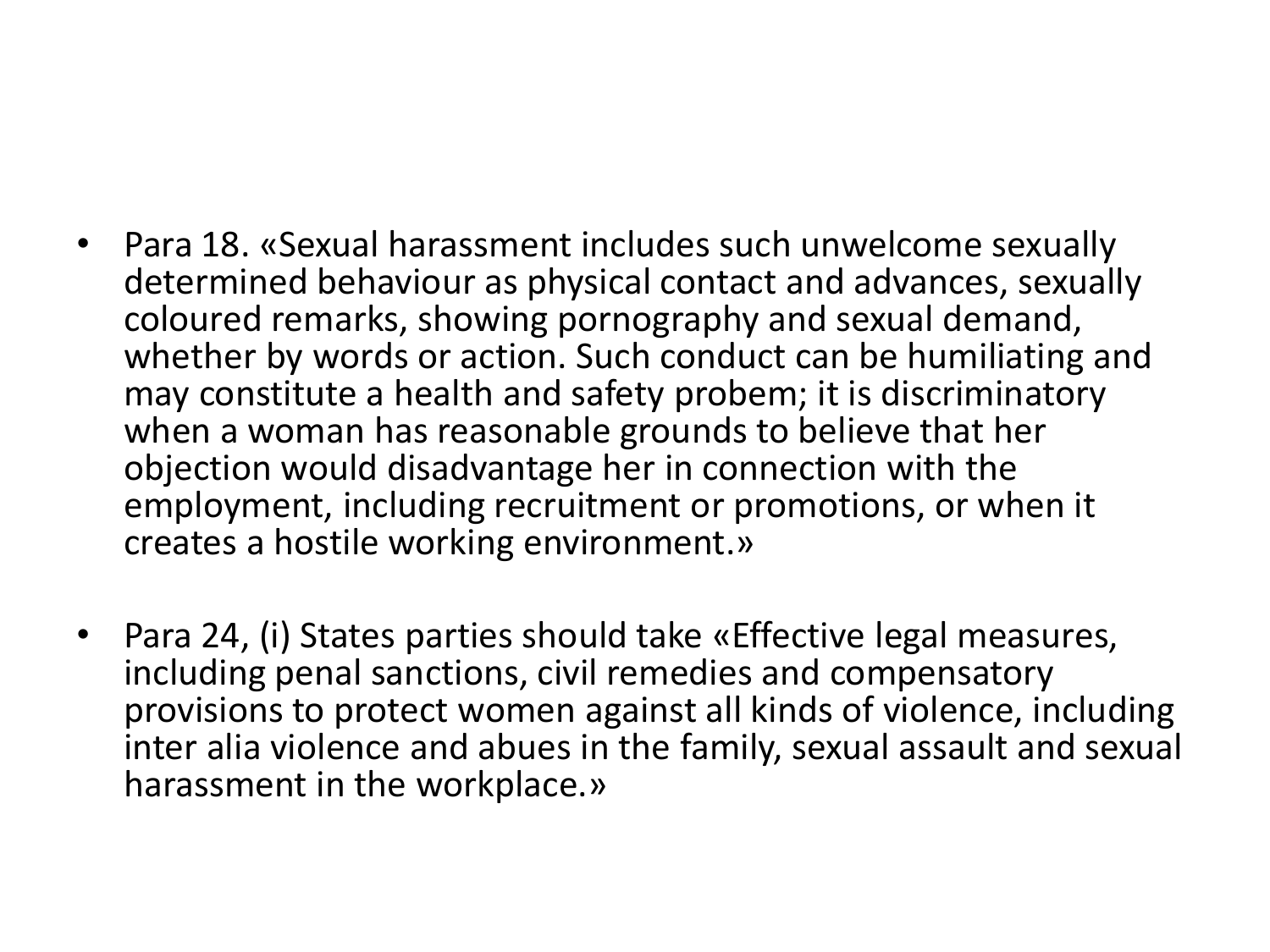- Para 18. «Sexual harassment includes such unwelcome sexually determined behaviour as physical contact and advances, sexually coloured remarks, showing pornography and sexual demand, whether by words or action. Such conduct can be humiliating and may constitute a health and safety probem; it is discriminatory when a woman has reasonable grounds to believe that her objection would disadvantage her in connection with the employment, including recruitment or promotions, or when it creates a hostile working environment.»
- Para 24, (i) States parties should take «Effective legal measures, including penal sanctions, civil remedies and compensatory provisions to protect women against all kinds of violence, including inter alia violence and abues in the family, sexual assault and sexual harassment in the workplace.»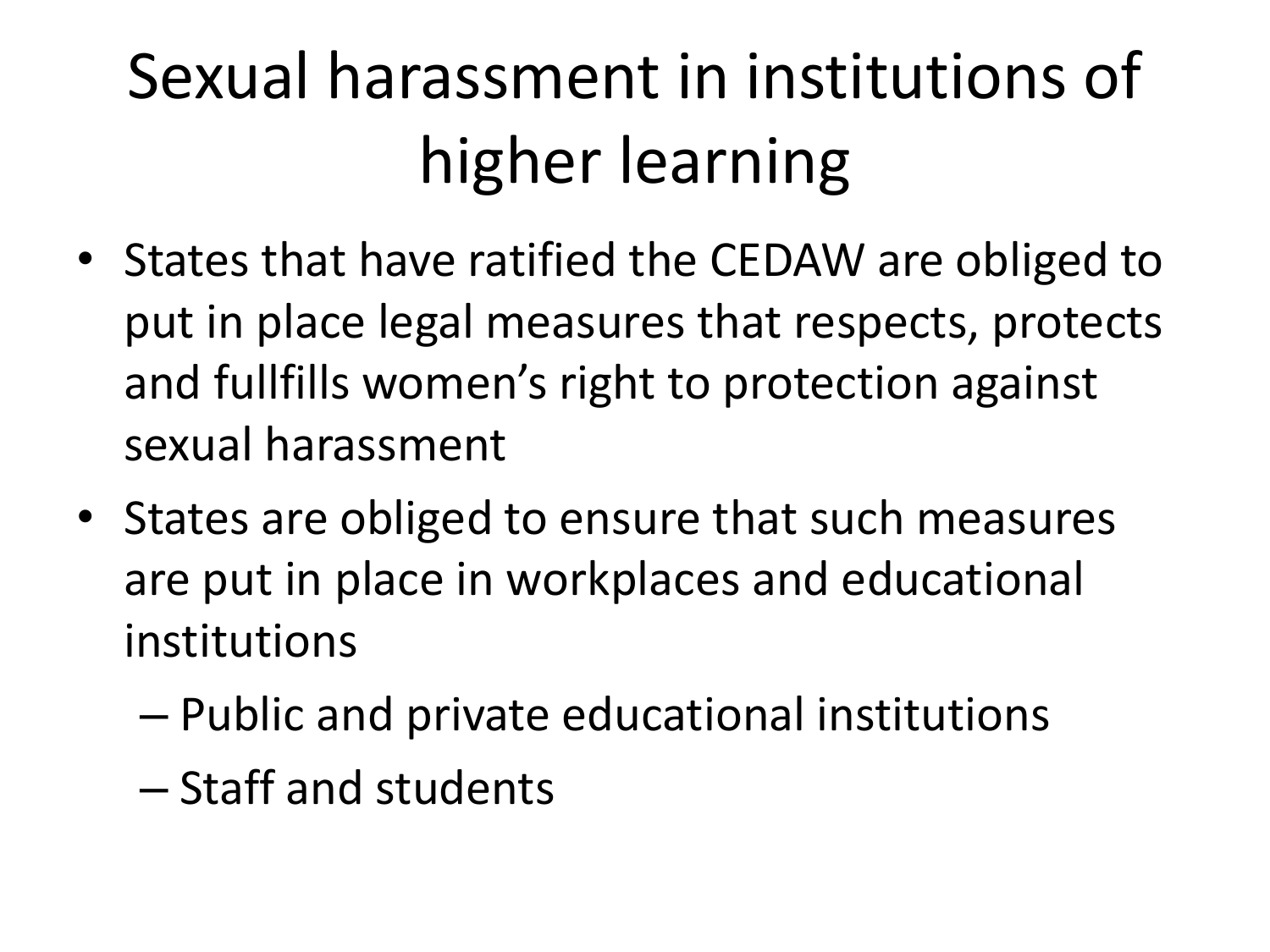## Sexual harassment in institutions of higher learning

- States that have ratified the CEDAW are obliged to put in place legal measures that respects, protects and fullfills women's right to protection against sexual harassment
- States are obliged to ensure that such measures are put in place in workplaces and educational institutions
	- Public and private educational institutions
	- Staff and students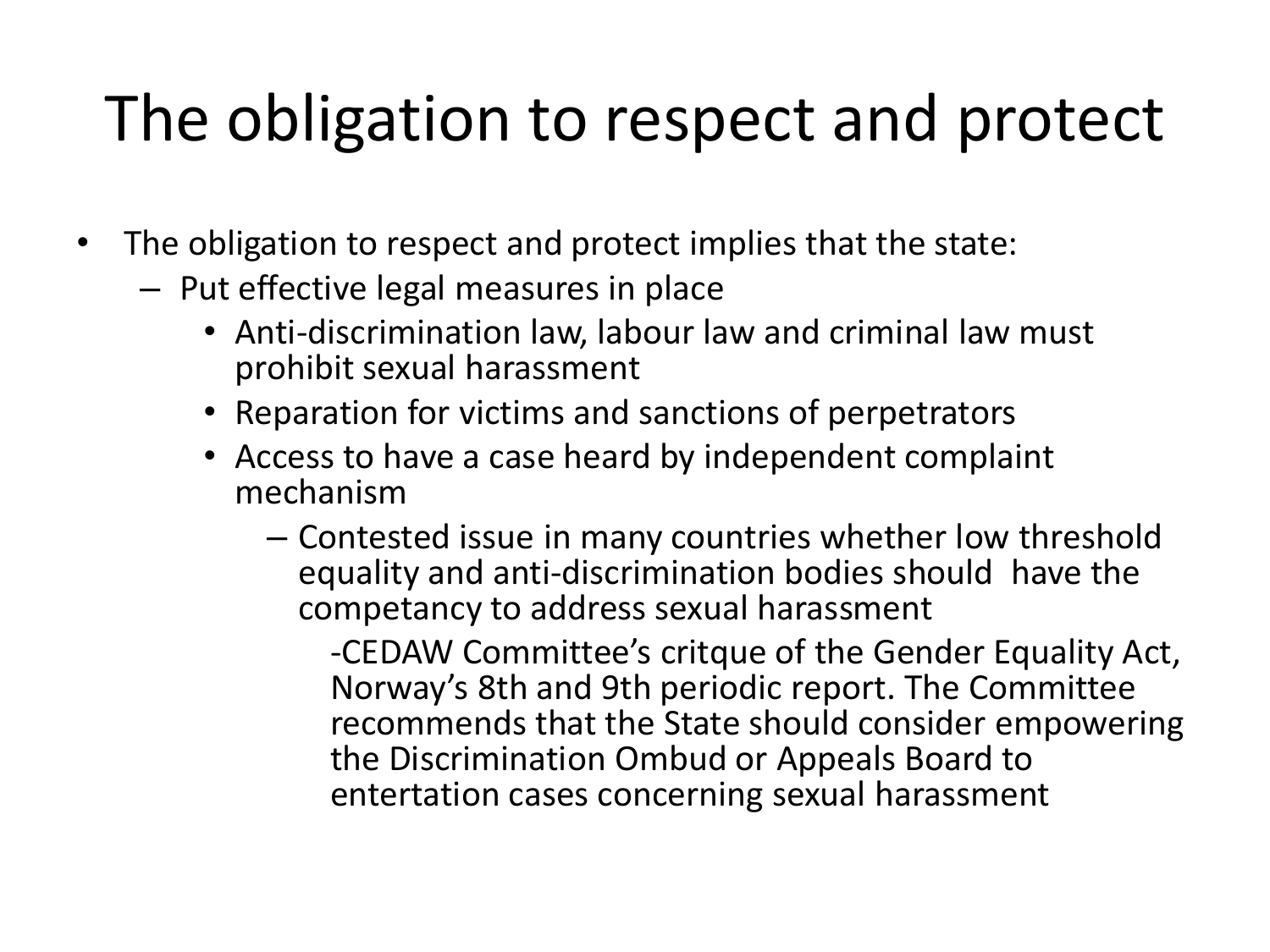#### The obligation to respect and protect

- The obligation to respect and protect implies that the state:
	- Put effective legal measures in place
		- Anti-discrimination law, labour law and criminal law must prohibit sexual harassment
		- Reparation for victims and sanctions of perpetrators
		- Access to have a case heard by independent complaint mechanism
			- Contested issue in many countries whether low threshold equality and anti-discrimination bodies should have the competancy to address sexual harassment

-CEDAW Committee's critque of the Gender Equality Act, Norway's 8th and 9th periodic report. The Committee recommends that the State should consider empowering the Discrimination Ombud or Appeals Board to entertation cases concerning sexual harassment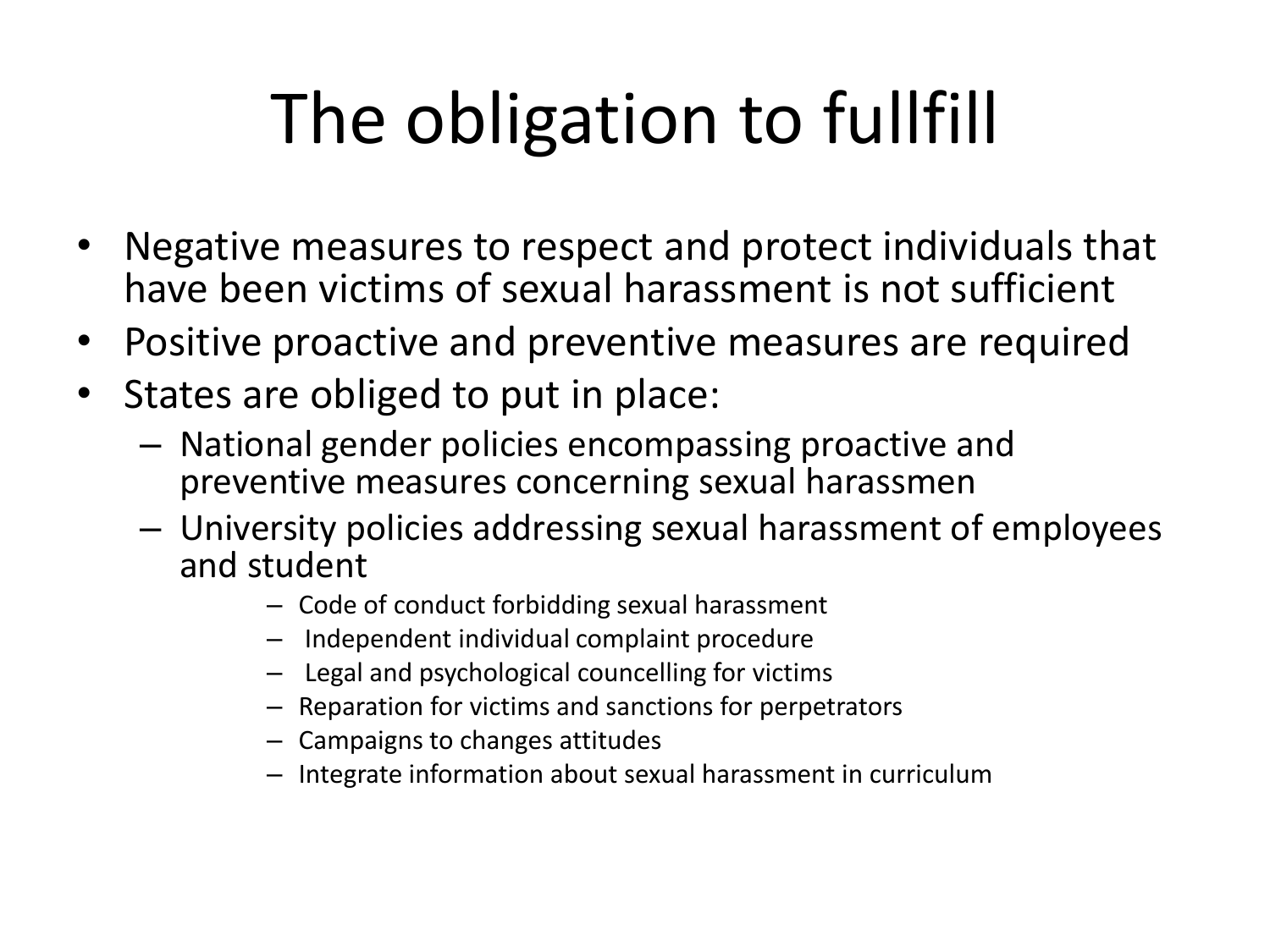# The obligation to fullfill

- Negative measures to respect and protect individuals that have been victims of sexual harassment is not sufficient
- Positive proactive and preventive measures are required
- States are obliged to put in place:
	- National gender policies encompassing proactive and preventive measures concerning sexual harassmen
	- University policies addressing sexual harassment of employees and student
		- Code of conduct forbidding sexual harassment
		- Independent individual complaint procedure
		- Legal and psychological councelling for victims
		- Reparation for victims and sanctions for perpetrators
		- Campaigns to changes attitudes
		- Integrate information about sexual harassment in curriculum